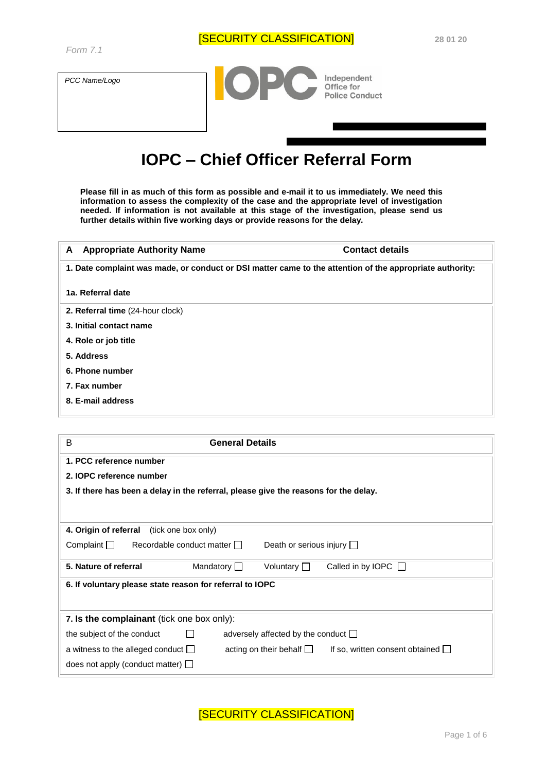*PCC Name/Logo* 



# **IOPC – Chief Officer Referral Form**

**Please fill in as much of this form as possible and e-mail it to us immediately. We need this information to assess the complexity of the case and the appropriate level of investigation needed. If information is not available at this stage of the investigation, please send us further details within five working days or provide reasons for the delay.**

| A                       | <b>Contact details</b><br><b>Appropriate Authority Name</b>                                              |  |
|-------------------------|----------------------------------------------------------------------------------------------------------|--|
|                         | 1. Date complaint was made, or conduct or DSI matter came to the attention of the appropriate authority: |  |
| 1a. Referral date       |                                                                                                          |  |
|                         | 2. Referral time (24-hour clock)                                                                         |  |
| 3. Initial contact name |                                                                                                          |  |
| 4. Role or job title    |                                                                                                          |  |
| 5. Address              |                                                                                                          |  |
| 6. Phone number         |                                                                                                          |  |
| 7. Fax number           |                                                                                                          |  |
| 8. E-mail address       |                                                                                                          |  |

| B<br><b>General Details</b>                                                                                        |  |  |
|--------------------------------------------------------------------------------------------------------------------|--|--|
| 1. PCC reference number                                                                                            |  |  |
| 2. IOPC reference number                                                                                           |  |  |
| 3. If there has been a delay in the referral, please give the reasons for the delay.                               |  |  |
|                                                                                                                    |  |  |
| 4. Origin of referral<br>(tick one box only)                                                                       |  |  |
| Complain<br>Recordable conduct matter    <br>Death or serious injury $\Box$                                        |  |  |
| 5. Nature of referral<br>Mandatory $\Box$<br>Voluntary $\Box$<br>Called in by IOPC $\Box$                          |  |  |
| 6. If voluntary please state reason for referral to IOPC                                                           |  |  |
| 7. Is the complainant (tick one box only):                                                                         |  |  |
| the subject of the conduct<br>adversely affected by the conduct $\Box$                                             |  |  |
| a witness to the alleged conduct $\Box$<br>acting on their behalf $\Box$<br>If so, written consent obtained $\Box$ |  |  |
| does not apply (conduct matter) $\Box$                                                                             |  |  |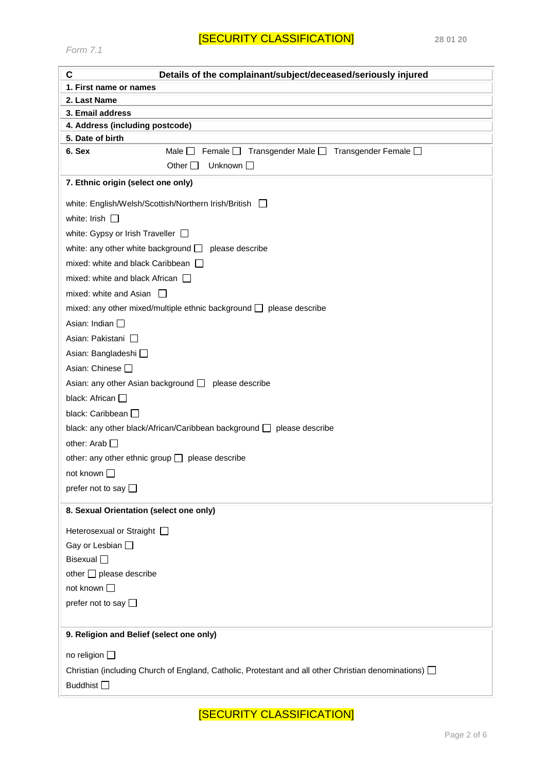## [SECURITY CLASSIFICATION] **28 01 20**

*Form 7.1* 

| C<br>Details of the complainant/subject/deceased/seriously injured                                            |
|---------------------------------------------------------------------------------------------------------------|
| 1. First name or names                                                                                        |
| 2. Last Name                                                                                                  |
| 3. Email address                                                                                              |
| 4. Address (including postcode)                                                                               |
| 5. Date of birth<br>6. Sex<br>Transgender Male □ Transgender Female □<br>Male $\Box$<br>Female $\square$      |
| Other $\Box$<br>Unknown $\Box$                                                                                |
| 7. Ethnic origin (select one only)                                                                            |
| white: English/Welsh/Scottish/Northern Irish/British $\Box$                                                   |
| white: Irish $\Box$                                                                                           |
| white: Gypsy or Irish Traveller $\Box$                                                                        |
| white: any other white background $\Box$ please describe                                                      |
| mixed: white and black Caribbean $\Box$                                                                       |
| mixed: white and black African $\Box$                                                                         |
| mixed: white and Asian $\Box$                                                                                 |
| mixed: any other mixed/multiple ethnic background $\Box$ please describe                                      |
| Asian: Indian $\square$                                                                                       |
| Asian: Pakistani □                                                                                            |
| Asian: Bangladeshi □                                                                                          |
| Asian: Chinese □                                                                                              |
| Asian: any other Asian background $\Box$ please describe                                                      |
| black: African $\square$                                                                                      |
| black: Caribbean                                                                                              |
| black: any other black/African/Caribbean background □ please describe                                         |
| other: Arab $\Box$                                                                                            |
| other: any other ethnic group $\Box$ please describe                                                          |
| not known $\square$                                                                                           |
| prefer not to say $\square$                                                                                   |
| 8. Sexual Orientation (select one only)                                                                       |
| Heterosexual or Straight [                                                                                    |
| Gay or Lesbian $\square$                                                                                      |
| <b>Bisexual</b> □                                                                                             |
| other $\Box$ please describe                                                                                  |
| not known $\square$                                                                                           |
| prefer not to say $\square$                                                                                   |
| 9. Religion and Belief (select one only)                                                                      |
| no religion $\square$                                                                                         |
| Christian (including Church of England, Catholic, Protestant and all other Christian denominations) $\square$ |
| Buddhist □                                                                                                    |
|                                                                                                               |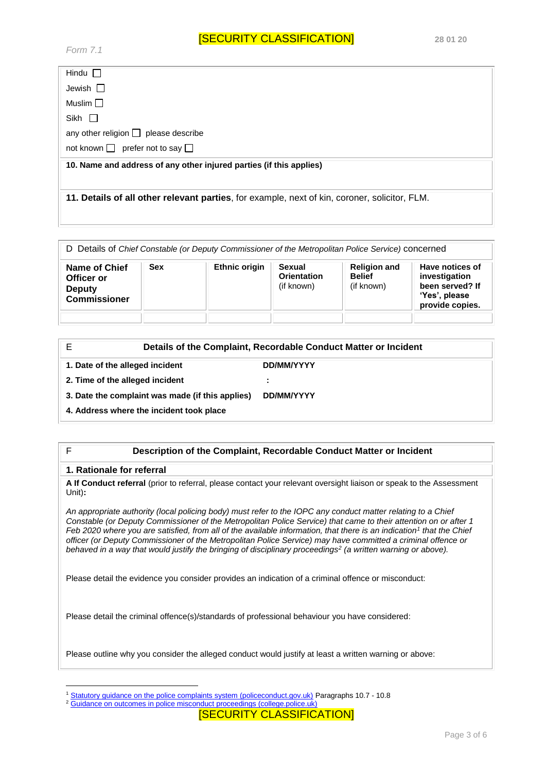| Hindu $\Box$                                                        |
|---------------------------------------------------------------------|
| Jewish $\Box$                                                       |
| Muslim $\square$                                                    |
| Sikh $\Box$                                                         |
| any other religion $\Box$ please describe                           |
| not known $\Box$ prefer not to say $\Box$                           |
|                                                                     |
| 10. Name and address of any other injured parties (if this applies) |
|                                                                     |

**11. Details of all other relevant parties**, for example, next of kin, coroner, solicitor, FLM.

D Details of *Chief Constable (or Deputy Commissioner of the Metropolitan Police Service)* concerned

| <b>Name of Chief</b><br>Officer or<br><b>Deputy</b><br><b>Commissioner</b> | <b>Sex</b> | <b>Ethnic origin</b> | Sexual<br><b>Orientation</b><br>(if known) | <b>Religion and</b><br><b>Belief</b><br>(if known) | Have notices of<br>investigation<br>been served? If<br>'Yes', please<br>provide copies. |
|----------------------------------------------------------------------------|------------|----------------------|--------------------------------------------|----------------------------------------------------|-----------------------------------------------------------------------------------------|
|                                                                            |            |                      |                                            |                                                    |                                                                                         |

|                                                  | Details of the Complaint, Recordable Conduct Matter or Incident |
|--------------------------------------------------|-----------------------------------------------------------------|
| 1. Date of the alleged incident                  | DD/MM/YYYY                                                      |
| 2. Time of the alleged incident                  |                                                                 |
| 3. Date the complaint was made (if this applies) | DD/MM/YYYY                                                      |
| 4. Address where the incident took place         |                                                                 |

#### F **Description of the Complaint, Recordable Conduct Matter or Incident**

#### **1. Rationale for referral**

1

**A If Conduct referral** (prior to referral, please contact your relevant oversight liaison or speak to the Assessment Unit)**:** 

*An appropriate authority (local policing body) must refer to the IOPC any conduct matter relating to a Chief Constable (or Deputy Commissioner of the Metropolitan Police Service) that came to their attention on or after 1 Feb 2020 where you are satisfied, from all of the available information, that there is an indication<sup>1</sup> that the Chief officer (or Deputy Commissioner of the Metropolitan Police Service) may have committed a criminal offence or behaved in a way that would justify the bringing of disciplinary proceedings<sup>2</sup> (a written warning or above).* 

Please detail the evidence you consider provides an indication of a criminal offence or misconduct:

Please detail the criminal offence(s)/standards of professional behaviour you have considered:

Please outline why you consider the alleged conduct would justify at least a written warning or above:

<sup>&</sup>lt;sup>1</sup> Statutory guidance on the police complaints system (policeconduct.gov.uk) Paragraphs 10.7 - 10.8

<sup>2</sup> Guidance on outcomes in police misconduct proceedings (college.police.uk)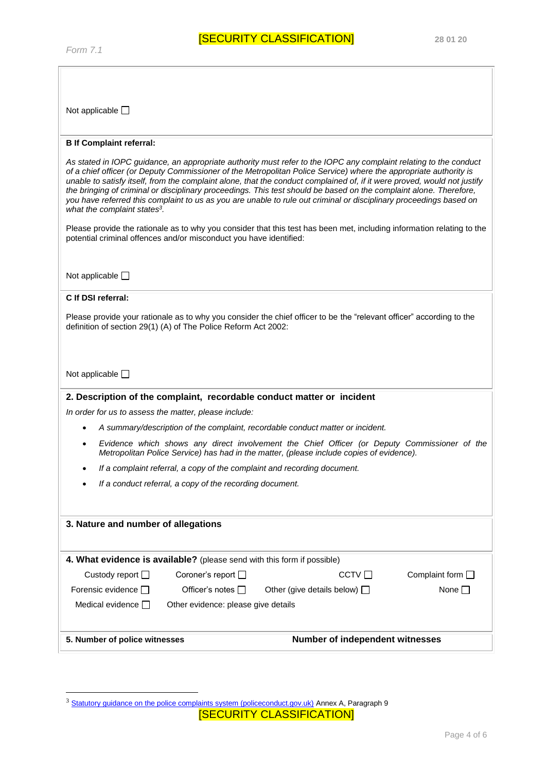1

Not applicable  $\square$ 

#### **B If Complaint referral:**

| As stated in IOPC guidance, an appropriate authority must refer to the IOPC any complaint relating to the conduct<br>of a chief officer (or Deputy Commissioner of the Metropolitan Police Service) where the appropriate authority is<br>unable to satisfy itself, from the complaint alone, that the conduct complained of, if it were proved, would not justify<br>the bringing of criminal or disciplinary proceedings. This test should be based on the complaint alone. Therefore,<br>you have referred this complaint to us as you are unable to rule out criminal or disciplinary proceedings based on<br>what the complaint states <sup>3</sup> .<br>Please provide the rationale as to why you consider that this test has been met, including information relating to the<br>potential criminal offences and/or misconduct you have identified:<br>Not applicable $\square$ |  |  |
|----------------------------------------------------------------------------------------------------------------------------------------------------------------------------------------------------------------------------------------------------------------------------------------------------------------------------------------------------------------------------------------------------------------------------------------------------------------------------------------------------------------------------------------------------------------------------------------------------------------------------------------------------------------------------------------------------------------------------------------------------------------------------------------------------------------------------------------------------------------------------------------|--|--|
| C If DSI referral:                                                                                                                                                                                                                                                                                                                                                                                                                                                                                                                                                                                                                                                                                                                                                                                                                                                                     |  |  |
|                                                                                                                                                                                                                                                                                                                                                                                                                                                                                                                                                                                                                                                                                                                                                                                                                                                                                        |  |  |
| Please provide your rationale as to why you consider the chief officer to be the "relevant officer" according to the<br>definition of section 29(1) (A) of The Police Reform Act 2002:                                                                                                                                                                                                                                                                                                                                                                                                                                                                                                                                                                                                                                                                                                 |  |  |
| Not applicable $\square$                                                                                                                                                                                                                                                                                                                                                                                                                                                                                                                                                                                                                                                                                                                                                                                                                                                               |  |  |
| 2. Description of the complaint, recordable conduct matter or incident                                                                                                                                                                                                                                                                                                                                                                                                                                                                                                                                                                                                                                                                                                                                                                                                                 |  |  |
| In order for us to assess the matter, please include:                                                                                                                                                                                                                                                                                                                                                                                                                                                                                                                                                                                                                                                                                                                                                                                                                                  |  |  |
| A summary/description of the complaint, recordable conduct matter or incident.                                                                                                                                                                                                                                                                                                                                                                                                                                                                                                                                                                                                                                                                                                                                                                                                         |  |  |
| Evidence which shows any direct involvement the Chief Officer (or Deputy Commissioner of the<br>Metropolitan Police Service) has had in the matter, (please include copies of evidence).                                                                                                                                                                                                                                                                                                                                                                                                                                                                                                                                                                                                                                                                                               |  |  |
| If a complaint referral, a copy of the complaint and recording document.                                                                                                                                                                                                                                                                                                                                                                                                                                                                                                                                                                                                                                                                                                                                                                                                               |  |  |
| If a conduct referral, a copy of the recording document.                                                                                                                                                                                                                                                                                                                                                                                                                                                                                                                                                                                                                                                                                                                                                                                                                               |  |  |
|                                                                                                                                                                                                                                                                                                                                                                                                                                                                                                                                                                                                                                                                                                                                                                                                                                                                                        |  |  |
| 3. Nature and number of allegations                                                                                                                                                                                                                                                                                                                                                                                                                                                                                                                                                                                                                                                                                                                                                                                                                                                    |  |  |
|                                                                                                                                                                                                                                                                                                                                                                                                                                                                                                                                                                                                                                                                                                                                                                                                                                                                                        |  |  |
| 4. What evidence is available? (please send with this form if possible)                                                                                                                                                                                                                                                                                                                                                                                                                                                                                                                                                                                                                                                                                                                                                                                                                |  |  |
| Coroner's report $\square$<br>CCTV<br>Complaint form $\square$<br>Custody report $\Box$                                                                                                                                                                                                                                                                                                                                                                                                                                                                                                                                                                                                                                                                                                                                                                                                |  |  |
| Forensic evidence $\square$<br>Officer's notes □<br>None $\square$<br>Other (give details below) $\Box$                                                                                                                                                                                                                                                                                                                                                                                                                                                                                                                                                                                                                                                                                                                                                                                |  |  |
| Medical evidence $\square$<br>Other evidence: please give details                                                                                                                                                                                                                                                                                                                                                                                                                                                                                                                                                                                                                                                                                                                                                                                                                      |  |  |
|                                                                                                                                                                                                                                                                                                                                                                                                                                                                                                                                                                                                                                                                                                                                                                                                                                                                                        |  |  |
| Number of independent witnesses<br>5. Number of police witnesses                                                                                                                                                                                                                                                                                                                                                                                                                                                                                                                                                                                                                                                                                                                                                                                                                       |  |  |

 $3$  Statutory guidance on the police complaints system (policeconduct.gov.uk) Annex A, Paragraph 9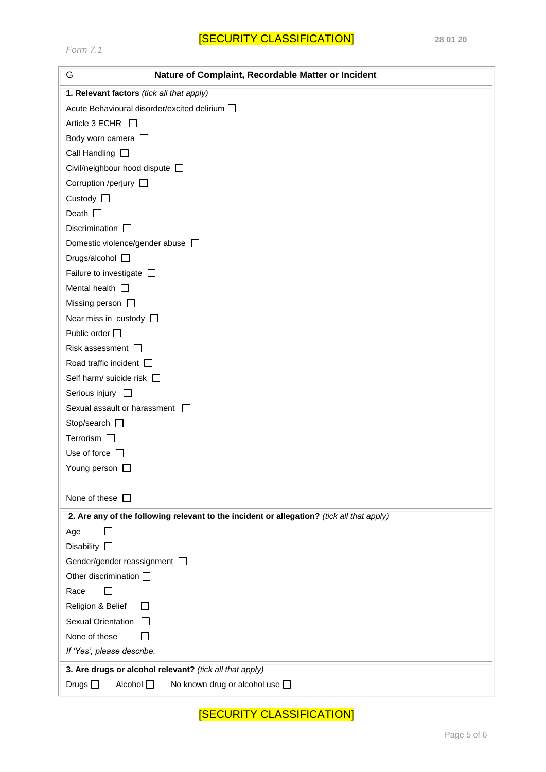| G<br>Nature of Complaint, Recordable Matter or Incident                                   |
|-------------------------------------------------------------------------------------------|
| 1. Relevant factors (tick all that apply)                                                 |
| Acute Behavioural disorder/excited delirium [                                             |
| Article 3 ECHR $\Box$                                                                     |
| Body worn camera $\Box$                                                                   |
| Call Handling $\square$                                                                   |
| Civil/neighbour hood dispute $\Box$                                                       |
| Corruption /perjury $\Box$                                                                |
| Custody $\square$                                                                         |
| Death $\square$                                                                           |
| Discrimination $\square$                                                                  |
| Domestic violence/gender abuse D                                                          |
| Drugs/alcohol $\square$                                                                   |
| Failure to investigate $\Box$                                                             |
| Mental health $\square$                                                                   |
| Missing person $\Box$                                                                     |
| Near miss in custody $\square$                                                            |
| Public order □                                                                            |
| Risk assessment $\square$                                                                 |
| Road traffic incident [                                                                   |
| Self harm/ suicide risk $\Box$                                                            |
| Serious injury $\square$                                                                  |
| Sexual assault or harassment                                                              |
| Stop/search $\square$                                                                     |
| Terrorism $\Box$                                                                          |
| Use of force $\Box$                                                                       |
| Young person $\Box$                                                                       |
|                                                                                           |
| None of these $\Box$                                                                      |
| 2. Are any of the following relevant to the incident or allegation? (tick all that apply) |
| Age                                                                                       |
| Disability $\square$                                                                      |
| Gender/gender reassignment [                                                              |
| Other discrimination [                                                                    |
| Race                                                                                      |
| Religion & Belief                                                                         |
| Sexual Orientation                                                                        |
| None of these                                                                             |
| If 'Yes', please describe.                                                                |
| 3. Are drugs or alcohol relevant? (tick all that apply)                                   |
| Alcohol □<br>Drugs $\square$<br>No known drug or alcohol use $\square$                    |